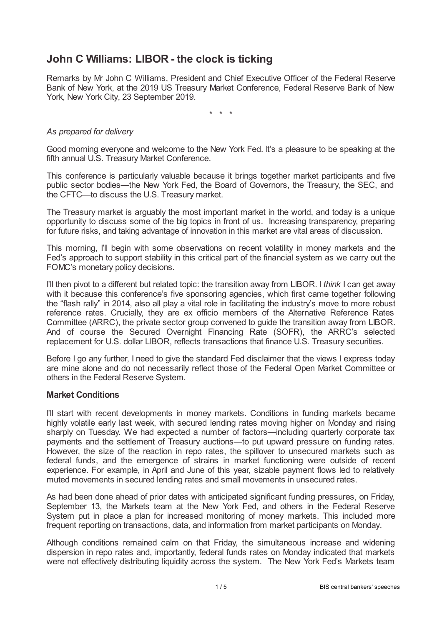# **John C Williams: LIBOR - the clock is ticking**

Remarks by Mr John C Williams, President and Chief Executive Officer of the Federal Reserve Bank of New York, at the 2019 US Treasury Market Conference, Federal Reserve Bank of New York, New York City, 23 September 2019.

\* \* \*

### *As prepared for delivery*

Good morning everyone and welcome to the New York Fed. It's a pleasure to be speaking at the fifth annual U.S. Treasury Market Conference.

This conference is particularly valuable because it brings together market participants and five public sector bodies—the New York Fed, the Board of Governors, the Treasury, the SEC, and the CFTC—to discuss the U.S. Treasury market.

The Treasury market is arguably the most important market in the world, and today is a unique opportunity to discuss some of the big topics in front of us. Increasing transparency, preparing for future risks, and taking advantage of innovation in this market are vital areas of discussion.

This morning, I'll begin with some observations on recent volatility in money markets and the Fed's approach to support stability in this critical part of the financial system as we carry out the FOMC's monetary policy decisions.

I'll then pivot to a different but related topic: the transition away from LIBOR. I *think* I can get away with it because this conference's five sponsoring agencies, which first came together following the "flash rally" in 2014, also all play a vital role in facilitating the industry's move to more robust reference rates. Crucially, they are ex officio members of the Alternative Reference Rates Committee (ARRC), the private sector group convened to guide the transition away from LIBOR. And of course the Secured Overnight Financing Rate (SOFR), the ARRC's selected replacement for U.S. dollar LIBOR, reflects transactions that finance U.S. Treasury securities.

Before I go any further, I need to give the standard Fed disclaimer that the views I express today are mine alone and do not necessarily reflect those of the Federal Open Market Committee or others in the Federal Reserve System.

#### **Market Conditions**

I'll start with recent developments in money markets. Conditions in funding markets became highly volatile early last week, with secured lending rates moving higher on Monday and rising sharply on Tuesday. We had expected a number of factors—including quarterly corporate tax payments and the settlement of Treasury auctions—to put upward pressure on funding rates. However, the size of the reaction in repo rates, the spillover to unsecured markets such as federal funds, and the emergence of strains in market functioning were outside of recent experience. For example, in April and June of this year, sizable payment flows led to relatively muted movements in secured lending rates and small movements in unsecured rates.

As had been done ahead of prior dates with anticipated significant funding pressures, on Friday, September 13, the Markets team at the New York Fed, and others in the Federal Reserve System put in place a plan for increased monitoring of money markets. This included more frequent reporting on transactions, data, and information from market participants on Monday.

Although conditions remained calm on that Friday, the simultaneous increase and widening dispersion in repo rates and, importantly, federal funds rates on Monday indicated that markets were not effectively distributing liquidity across the system. The New York Fed's Markets team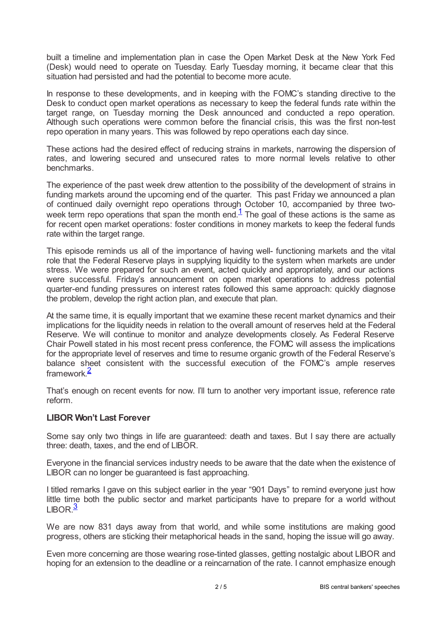built a timeline and implementation plan in case the Open Market Desk at the New York Fed (Desk) would need to operate on Tuesday. Early Tuesday morning, it became clear that this situation had persisted and had the potential to become more acute.

In response to these developments, and in keeping with the FOMC's standing directive to the Desk to conduct open market operations as necessary to keep the federal funds rate within the target range, on Tuesday morning the Desk announced and conducted a repo operation. Although such operations were common before the financial crisis, this was the first non-test repo operation in many years. This was followed by repo operations each day since.

These actions had the desired effect of reducing strains in markets, narrowing the dispersion of rates, and lowering secured and unsecured rates to more normal levels relative to other benchmarks.

<span id="page-1-0"></span>The experience of the past week drew attention to the possibility of the development of strains in funding markets around the upcoming end of the quarter. This past Friday we announced a plan of continued daily overnight repo operations through October 10, accompanied by three twoweek term repo operations that span the month end. $<sup>1</sup>$  $<sup>1</sup>$  $<sup>1</sup>$  The goal of these actions is the same as</sup> for recent open market operations: foster conditions in money markets to keep the federal funds rate within the target range.

This episode reminds us all of the importance of having well- functioning markets and the vital role that the Federal Reserve plays in supplying liquidity to the system when markets are under stress. We were prepared for such an event, acted quickly and appropriately, and our actions were successful. Friday's announcement on open market operations to address potential quarter-end funding pressures on interest rates followed this same approach: quickly diagnose the problem, develop the right action plan, and execute that plan.

At the same time, it is equally important that we examine these recent market dynamics and their implications for the liquidity needs in relation to the overall amount of reserves held at the Federal Reserve. We will continue to monitor and analyze developments closely. As Federal Reserve Chair Powell stated in his most recent press conference, the FOMC will assess the implications for the appropriate level of reserves and time to resume organic growth of the Federal Reserve's balance sheet consistent with the successful execution of the FOMC's ample reserves framework. [2](#page-3-1)

<span id="page-1-1"></span>That's enough on recent events for now. I'll turn to another very important issue, reference rate reform.

#### **LIBOR Won't Last Forever**

Some say only two things in life are guaranteed: death and taxes. But I say there are actually three: death, taxes, and the end of LIBOR.

Everyone in the financial services industry needs to be aware that the date when the existence of LIBOR can no longer be guaranteed is fast approaching.

I titled remarks I gave on this subject earlier in the year "901 Days" to remind everyone just how little time both the public sector and market participants have to prepare for a world without  $LIBOR.<sup>3</sup>$  $LIBOR.<sup>3</sup>$  $LIBOR.<sup>3</sup>$ 

<span id="page-1-2"></span>We are now 831 days away from that world, and while some institutions are making good progress, others are sticking their metaphorical heads in the sand, hoping the issue will go away.

Even more concerning are those wearing rose-tinted glasses, getting nostalgic about LIBOR and hoping for an extension to the deadline or a reincarnation of the rate. I cannot emphasize enough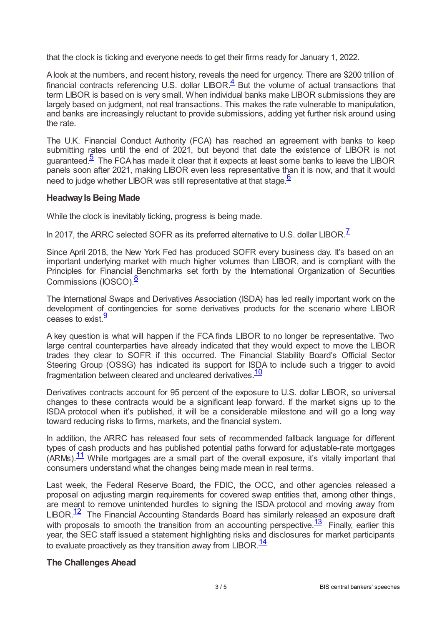that the clock is ticking and everyone needs to get their firms ready for January 1, 2022.

<span id="page-2-0"></span>Alook at the numbers, and recent history, reveals the need for urgency. There are \$200 trillion of financial contracts referencing U.S. dollar LIBOR. $\frac{4}{5}$  $\frac{4}{5}$  $\frac{4}{5}$  But the volume of actual transactions that term LIBOR is based on is very small. When individual banks make LIBOR submissions they are largely based on judgment, not real transactions. This makes the rate vulnerable to manipulation, and banks are increasingly reluctant to provide submissions, adding yet further risk around using the rate.

<span id="page-2-1"></span>The U.K. Financial Conduct Authority (FCA) has reached an agreement with banks to keep submitting rates until the end of 2021, but beyond that date the existence of LIBOR is not guaranteed. $\frac{5}{5}$  $\frac{5}{5}$  $\frac{5}{5}$  The FCA has made it clear that it expects at least some banks to leave the LIBOR panels soon after 2021, making LIBOR even less representative than it is now, and that it would need to judge whether LIBOR was still representative at that stage.<sup>[6](#page-4-0)</sup>

## <span id="page-2-2"></span>**HeadwayIs Being Made**

While the clock is inevitably ticking, progress is being made.

<span id="page-2-3"></span>In 201[7](#page-4-1), the ARRC selected SOFR as its preferred alternative to U.S. dollar LIBOR. $^{\mathsf{Z}}$ 

Since April 2018, the New York Fed has produced SOFR every business day. It's based on an important underlying market with much higher volumes than LIBOR, and is compliant with the Principles for Financial Benchmarks set forth by the International Organization of Securities Commissions (IOSCO).<sup>[8](#page-4-2)</sup>

<span id="page-2-4"></span>The International Swaps and Derivatives Association (ISDA) has led really important work on the development of contingencies for some derivatives products for the scenario where LIBOR ceases to exist.<sup>[9](#page-4-3)</sup>

<span id="page-2-5"></span>A key question is what will happen if the FCA finds LIBOR to no longer be representative. Two large central counterparties have already indicated that they would expect to move the LIBOR trades they clear to SOFR if this occurred. The Financial Stability Board's Official Sector Steering Group (OSSG) has indicated its support for ISDA to include such a trigger to avoid fragmentation between cleared and uncleared derivatives.<sup>[10](#page-4-4)</sup>

<span id="page-2-6"></span>Derivatives contracts account for 95 percent of the exposure to U.S. dollar LIBOR, so universal changes to these contracts would be a significant leap forward. If the market signs up to the ISDA protocol when it's published, it will be a considerable milestone and will go a long way toward reducing risks to firms, markets, and the financial system.

<span id="page-2-7"></span>In addition, the ARRC has released four sets of recommended fallback language for different types of cash products and has published potential paths forward for adjustable-rate mortgages  $(ARMs).$ <sup>[11](#page-4-5)</sup> While mortgages are a small part of the overall exposure, it's vitally important that consumers understand what the changes being made mean in real terms.

<span id="page-2-8"></span>Last week, the Federal Reserve Board, the FDIC, the OCC, and other agencies released a proposal on adjusting margin requirements for covered swap entities that, among other things, are meant to remove unintended hurdles to signing the ISDA protocol and moving away from  $LIBOR.<sup>12</sup>$  $LIBOR.<sup>12</sup>$  $LIBOR.<sup>12</sup>$  The Financial Accounting Standards Board has similarly released an exposure draft with proposals to smooth the transition from an accounting perspective.<sup>[13](#page-4-7)</sup> Finally, earlier this year, the SEC staff issued a statement highlighting risks and disclosures for market participants to evaluate proactively as they transition away from  $LIBOR.\frac{14}{1}$  $LIBOR.\frac{14}{1}$  $LIBOR.\frac{14}{1}$ 

#### <span id="page-2-10"></span><span id="page-2-9"></span>**The Challenges Ahead**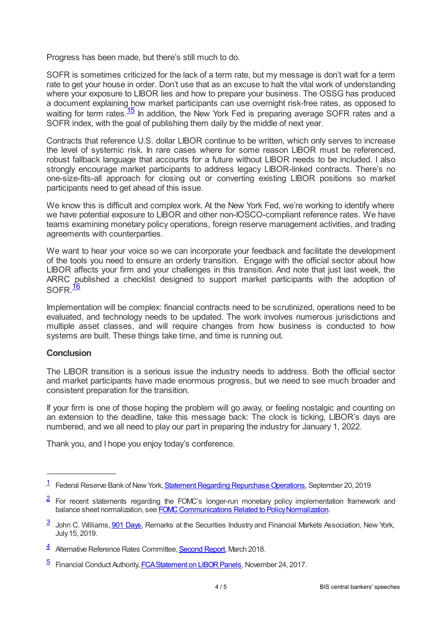Progress has been made, but there's still much to do.

SOFR is sometimes criticized for the lack of a term rate, but my message is don't wait for a term rate to get your house in order. Don't use that as an excuse to halt the vital work of understanding where your exposure to LIBOR lies and how to prepare your business. The OSSG has produced a document explaining how market participants can use overnight risk-free rates, as opposed to waiting for term rates.<sup>[15](#page-4-9)</sup> In addition, the New York Fed is preparing average SOFR rates and a SOFR index, with the goal of publishing them daily by the middle of next year.

<span id="page-3-5"></span>Contracts that reference U.S. dollar LIBOR continue to be written, which only serves to increase the level of systemic risk. In rare cases where for some reason LIBOR must be referenced, robust fallback language that accounts for a future without LIBOR needs to be included. I also strongly encourage market participants to address legacy LIBOR-linked contracts. There's no one-size-fits-all approach for closing out or converting existing LIBOR positions so market participants need to get ahead of this issue.

We know this is difficult and complex work. At the New York Fed, we're working to identify where we have potential exposure to LIBOR and other non-IOSCO-compliant reference rates. We have teams examining monetary policy operations, foreign reserve management activities, and trading agreements with counterparties.

We want to hear your voice so we can incorporate your feedback and facilitate the development of the tools you need to ensure an orderly transition. Engage with the official sector about how LIBOR affects your firm and your challenges in this transition. And note that just last week, the ARRC published a checklist designed to support market participants with the adoption of SOFR.<sup>[16](#page-4-10)</sup>

<span id="page-3-6"></span>Implementation will be complex: financial contracts need to be scrutinized, operations need to be evaluated, and technology needs to be updated. The work involves numerous jurisdictions and multiple asset classes, and will require changes from how business is conducted to how systems are built. These things take time, and time is running out.

#### **Conclusion**

The LIBOR transition is a serious issue the industry needs to address. Both the official sector and market participants have made enormous progress, but we need to see much broader and consistent preparation for the transition.

If your firm is one of those hoping the problem will go away, or feeling nostalgic and counting on an extension to the deadline, take this message back: The clock is ticking, LIBOR's days are numbered, and we all need to play our part in preparing the industry for January 1, 2022.

Thank you, and I hope you enjoy today's conference.

<span id="page-3-0"></span><sup>&</sup>lt;sup>[1](#page-1-0)</sup> Federal Reserve Bank of New York, <u>Statement Regarding Repurchase Operations</u>, September 20, 2019

<span id="page-3-1"></span> $2$  For recent statements regarding the FOMC's longer-run monetary policy implementation framework and balance sheet normalization, see FOMC Communications Related to Policy Normalization.

<span id="page-3-2"></span><sup>&</sup>lt;sup>3</sup> John C. Williams, 901 [Days](www.newyorkfed.org/newsevents/speeches/2019/wil190715), Remarks at the Securities Industry and Financial Markets Association, New York, July15, 2019.

<span id="page-3-3"></span><sup>4</sup> Alternative Reference Rates Committee, [Second](www.newyorkfed.org/medialibrary/Microsites/arrc/files/2018/ARRC-Second-report) Report, March 2018.

<span id="page-3-4"></span><sup>&</sup>lt;sup>[5](#page-2-1)</sup> Financial Conduct Authority, *FCA Statement on LIBOR Panels*, November 24, 2017.